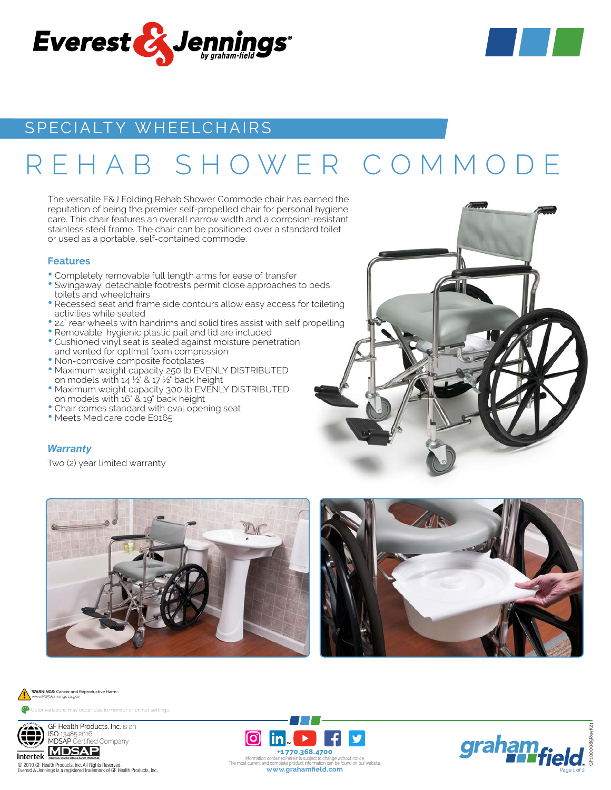



# SPECIALTY WHEELCHAIRS

# REHAB SHOWER COMMODE

The versatile E&J Folding Rehab Shower Commode chair has earned the reputation of being the premier self-propelled chair for personal hygiene care. This chair features an overall narrow width and a corrosion-resistant stainless steel frame. The chair can be positioned over a standard toilet or used as a portable, self-contained commode.

#### **Features**

- Completely removable full length arms for ease of transfer
- Swingaway, detachable footrests permit close approaches to beds, toilets and wheelchairs
- Recessed seat and frame side contours allow easy access for toileting activities while seated
- 24" rear wheels with handrims and solid tires assist with self propelling
- Removable, hygienic plastic pail and lid are included
- Cushioned vinyl seat is sealed against moisture penetration and vented for optimal foam compression
- Non-corrosive composite footplates
- Maximum weight capacity 250 lb EVENLY DISTRIBUTED on models with  $14\frac{1}{2}$  &  $17\frac{1}{2}$  back height
- Maximum weight capacity 300 lb EVENLY DISTRIBUTED on models with 16" & 19" back height
- Chair comes standard with oval opening seat
- Meets Medicare code E0165

## *Warranty*

Two (2) year limited warranty









Everest & Jennings is a registered trademark of GF Health Products, Inc.